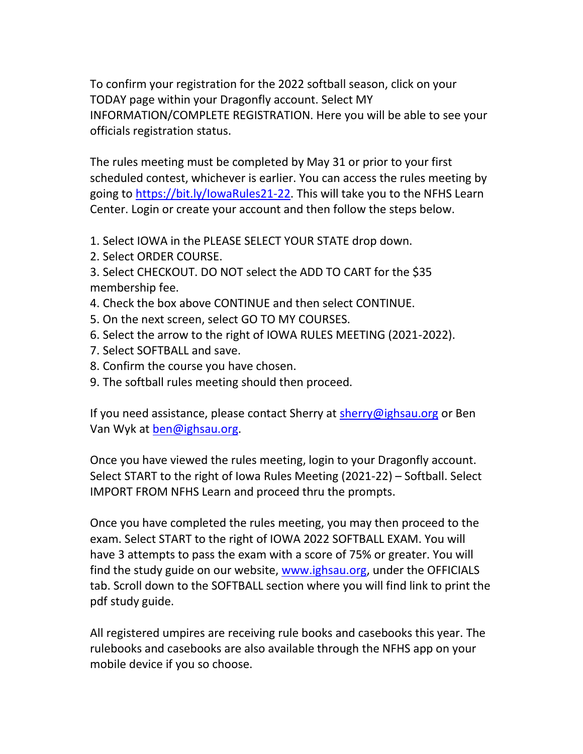To confirm your registration for the 2022 softball season, click on your TODAY page within your Dragonfly account. Select MY INFORMATION/COMPLETE REGISTRATION. Here you will be able to see your officials registration status.

The rules meeting must be completed by May 31 or prior to your first scheduled contest, whichever is earlier. You can access the rules meeting by going to [https://bit.ly/IowaRules21-22.](https://bit.ly/IowaRules21-22) This will take you to the NFHS Learn Center. Login or create your account and then follow the steps below.

- 1. Select IOWA in the PLEASE SELECT YOUR STATE drop down.
- 2. Select ORDER COURSE.
- 3. Select CHECKOUT. DO NOT select the ADD TO CART for the \$35 membership fee.
- 4. Check the box above CONTINUE and then select CONTINUE.
- 5. On the next screen, select GO TO MY COURSES.
- 6. Select the arrow to the right of IOWA RULES MEETING (2021-2022).
- 7. Select SOFTBALL and save.
- 8. Confirm the course you have chosen.
- 9. The softball rules meeting should then proceed.

If you need assistance, please contact Sherry at [sherry@ighsau.org](mailto:sherry@ighsau.org) or Ben Van Wyk at [ben@ighsau.org.](mailto:ben@ighsau.org)

Once you have viewed the rules meeting, login to your Dragonfly account. Select START to the right of Iowa Rules Meeting (2021-22) – Softball. Select IMPORT FROM NFHS Learn and proceed thru the prompts.

Once you have completed the rules meeting, you may then proceed to the exam. Select START to the right of IOWA 2022 SOFTBALL EXAM. You will have 3 attempts to pass the exam with a score of 75% or greater. You will find the study guide on our website, [www.ighsau.org,](http://www.ighsau.org/) under the OFFICIALS tab. Scroll down to the SOFTBALL section where you will find link to print the pdf study guide.

All registered umpires are receiving rule books and casebooks this year. The rulebooks and casebooks are also available through the NFHS app on your mobile device if you so choose.